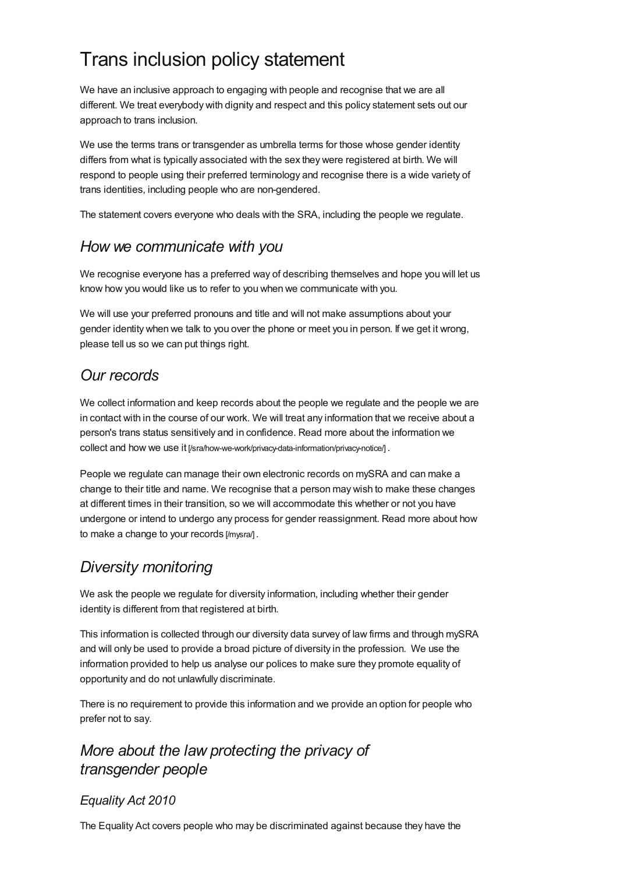# Trans inclusion policy statement

We have an inclusive approach to engaging with people and recognise that we are all different. We treat everybody with dignity and respect and this policy statement sets out our approach to trans inclusion.

We use the terms trans or transgender as umbrella terms for those whose gender identity differs from what is typically associated with the sex they were registered at birth. We will respond to people using their preferred terminology and recognise there is a wide variety of trans identities, including people who are non-gendered.

The statement covers everyone who deals with the SRA, including the people we regulate.

#### *How we communicate with you*

We recognise everyone has a preferred way of describing themselves and hope you will let us know how you would like us to refer to you when we communicate with you.

We will use your preferred pronouns and title and will not make assumptions about your gender identity when we talk to you over the phone or meet you in person. If we get it wrong, please tell us so we can put things right.

#### *Our records*

We collect information and keep records about the people we regulate and the people we are in contact with in the course of our work. We will treat any information that we receive about a person's trans status sensitively and in confidence. Read more about the information we collect and how we use it [\[/sra/how-we-work/privacy-data-information/privacy-notice/\]](https://www.sra.org.uk/sra/how-we-work/privacy-data-information/privacy-notice/).

People we regulate can manage their own electronic records on mySRA and can make a change to their title and name. We recognise that a person may wish to make these changes at different times in their transition, so we will accommodate this whether or not you have undergone or intend to undergo any process for gender [reassignment.](https://www.sra.org.uk/mysra/) Read more about how to make a change to your records [/mysra/] .

## *Diversity monitoring*

We ask the people we regulate for diversity information, including whether their gender identity is different from that registered at birth.

This information is collected through our diversity data survey of law firms and through mySRA and will only be used to provide a broad picture of diversity in the profession. We use the information provided to help us analyse our polices to make sure they promote equality of opportunity and do not unlawfully discriminate.

There is no requirement to provide this information and we provide an option for people who prefer not to say.

#### *More about the law protecting the privacy of transgender people*

#### *Equality Act 2010*

The Equality Act covers people who may be discriminated against because they have the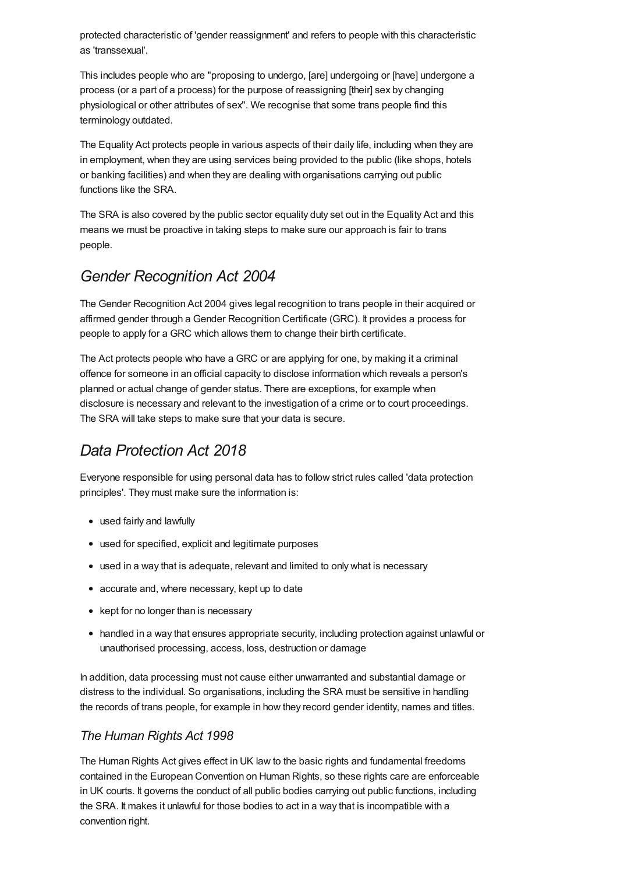protected characteristic of 'gender reassignment' and refers to people with this characteristic as 'transsexual'.

This includes people who are "proposing to undergo, [are] undergoing or [have] undergone a process (or a part of a process) for the purpose of reassigning [their] sex by changing physiological or other attributes of sex". We recognise that some trans people find this terminology outdated.

The Equality Act protects people in various aspects of their daily life, including when they are in employment, when they are using services being provided to the public (like shops, hotels or banking facilities) and when they are dealing with organisations carrying out public functions like the SRA.

The SRA is also covered by the public sector equality duty set out in the Equality Act and this means we must be proactive in taking steps to make sure our approach is fair to trans people.

#### *Gender Recognition Act 2004*

The Gender Recognition Act 2004 gives legal recognition to trans people in their acquired or affirmed gender through a Gender Recognition Certificate (GRC). It provides a process for people to apply for a GRC which allows them to change their birth certificate.

The Act protects people who have a GRC or are applying for one, by making it a criminal offence for someone in an official capacity to disclose information which reveals a person's planned or actual change of gender status. There are exceptions, for example when disclosure is necessary and relevant to the investigation of a crime or to court proceedings. The SRA will take steps to make sure that your data is secure.

## *Data Protection Act 2018*

Everyone responsible for using personal data has to follow strict rules called 'data protection principles'. They must make sure the information is:

- used fairly and lawfully
- used for specified, explicit and legitimate purposes
- used in a way that is adequate, relevant and limited to only what is necessary
- accurate and, where necessary, kept up to date
- kept for no longer than is necessary
- handled in a way that ensures appropriate security, including protection against unlawful or unauthorised processing, access, loss, destruction or damage

In addition, data processing must not cause either unwarranted and substantial damage or distress to the individual. So organisations, including the SRA must be sensitive in handling the records of trans people, for example in how they record gender identity, names and titles.

#### *The Human Rights Act 1998*

The Human Rights Act gives effect in UK law to the basic rights and fundamental freedoms contained in the European Convention on Human Rights, so these rights care are enforceable in UK courts. It governs the conduct of all public bodies carrying out public functions, including the SRA. It makes it unlawful for those bodies to act in a way that is incompatible with a convention right.